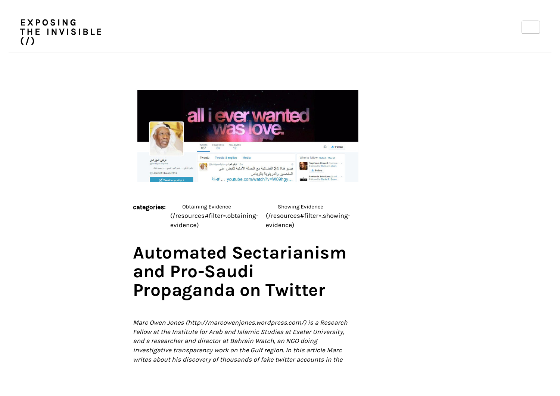

categories: Obtaining Evidence [\(/resources#filter=.obtaining](https://exposingtheinvisible.org/resources#filter=.obtaining-evidence)evidence) Showing Evidence [\(/resources#filter=.showing](https://exposingtheinvisible.org/resources#filter=.showing-evidence)evidence)

# Automated Sectarianism and Pro-Saudi Propaganda on Twitter

[Marc Owen Jones \(http://marcowenjones.wordpress.com/\)](http://marcowenjones.wordpress.com/) is a Research Fellow at the Institute for Arab and Islamic Studies at Exeter University, and a researcher and director at Bahrain Watch, an NGO doing investigative transparency work on the Gulf region. In this article Marc writes about his discovery of thousands of fake twitter accounts in the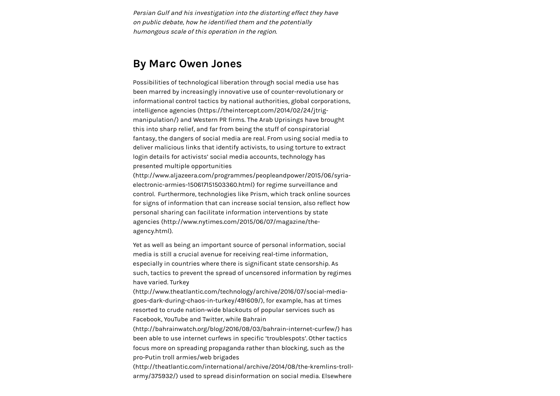Persian Gulf and his investigation into the distorting effect they have on public debate, how he identified them and the potentially humongous scale of this operation in the region.

#### By Marc Owen Jones

Possibilities of technological liberation through social media use has been marred by increasingly innovative use of counter-revolutionary or informational control tactics by national authorities, global corporations, intelligence agencies (https://theintercept.com/2014/02/24/jtrig[manipulation/\) and Western PR firms. The Arab Uprisings have bro](https://theintercept.com/2014/02/24/jtrig-manipulation/)ught this into sharp relief, and far from being the stuff of conspiratorial fantasy, the dangers of social media are real. From using social media to deliver malicious links that identify activists, to using torture to extract login details for activists' social media accounts, technology has presented multiple opportunities

[\(http://www.aljazeera.com/programmes/peopleandpower/2015/06/syria](http://www.aljazeera.com/programmes/peopleandpower/2015/06/syria-electronic-armies-150617151503360.html)electronic-armies-150617151503360.html) for regime surveillance and control. Furthermore, technologies like Prism, which track online sources for signs of information that can increase social tension, also reflect how [personal sharing can facilitate information interventions by state](http://www.nytimes.com/2015/06/07/magazine/the-agency.html) agencies (http://www.nytimes.com/2015/06/07/magazine/theagency.html).

Yet as well as being an important source of personal information, social media is still a crucial avenue for receiving real-time information, especially in countries where there is significant state censorship. As such, tactics to prevent the spread of uncensored information by regimes have varied. Turkey

[\(http://www.theatlantic.com/technology/archive/2016/07/social-media](http://www.theatlantic.com/technology/archive/2016/07/social-media-goes-dark-during-chaos-in-turkey/491609/)goes-dark-during-chaos-in-turkey/491609/), for example, has at times resorted to crude nation-wide blackouts of popular services such as Facebook, YouTube and Twitter, while Bahrain

[\(http://bahrainwatch.org/blog/2016/08/03/bahrain-internet-curfew/\)](http://bahrainwatch.org/blog/2016/08/03/bahrain-internet-curfew/) has been able to use internet curfews in specific 'troublespots'. Other tactics focus more on spreading propaganda rather than blocking, such as the pro-Putin troll armies/web brigades

[\(http://theatlantic.com/international/archive/2014/08/the-kremlins-troll](http://theatlantic.com/international/archive/2014/08/the-kremlins-troll-army/375932/)army/375932/) used to spread disinformation on social media. Elsewhere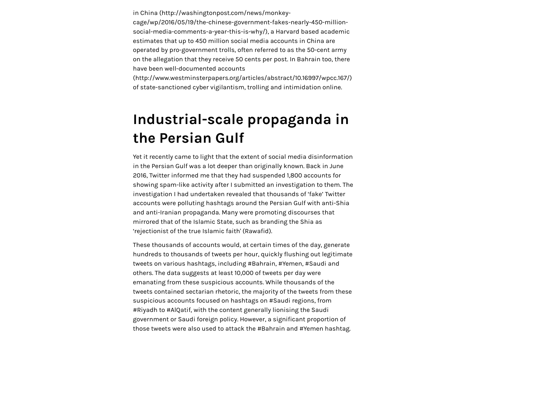in China (http://washingtonpost.com/news/monkey-

cage/wp/2016/05/19/the-chinese-government-fakes-nearly-450-million[social-media-comments-a-year-this-is-why/\), a Harvard based academic](http://washingtonpost.com/news/monkey-cage/wp/2016/05/19/the-chinese-government-fakes-nearly-450-million-social-media-comments-a-year-this-is-why/) estimates that up to 450 million social media accounts in China are operated by pro-government trolls, often referred to as the 50-cent army on the allegation that they receive 50 cents per post. In Bahrain too, there have been well-documented accounts

[\(http://www.westminsterpapers.org/articles/abstract/10.16997/wpcc.167/\)](http://www.westminsterpapers.org/articles/abstract/10.16997/wpcc.167/) of state-sanctioned cyber vigilantism, trolling and intimidation online.

### Industrial-scale propaganda in the Persian Gulf

Yet it recently came to light that the extent of social media disinformation in the Persian Gulf was a lot deeper than originally known. Back in June 2016, Twitter informed me that they had suspended 1,800 accounts for showing spam-like activity after I submitted an investigation to them. The investigation I had undertaken revealed that thousands of 'fake' Twitter accounts were polluting hashtags around the Persian Gulf with anti-Shia and anti-Iranian propaganda. Many were promoting discourses that mirrored that of the Islamic State, such as branding the Shia as 'rejectionist of the true Islamic faith' (Rawafid).

These thousands of accounts would, at certain times of the day, generate hundreds to thousands of tweets per hour, quickly flushing out legitimate tweets on various hashtags, including #Bahrain, #Yemen, #Saudi and others. The data suggests at least 10,000 of tweets per day were emanating from these suspicious accounts. While thousands of the tweets contained sectarian rhetoric, the majority of the tweets from these suspicious accounts focused on hashtags on #Saudi regions, from #Riyadh to #AlQatif, with the content generally lionising the Saudi government or Saudi foreign policy. However, a significant proportion of those tweets were also used to attack the #Bahrain and #Yemen hashtag.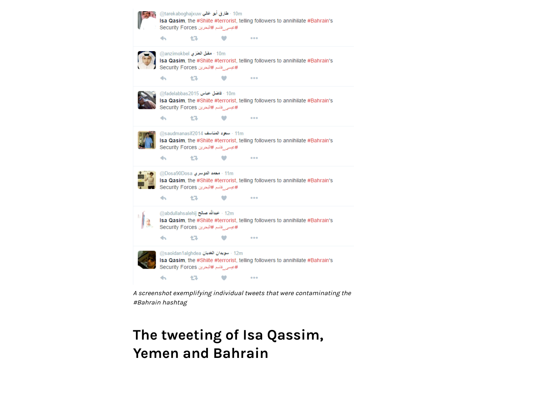

A screenshot exemplifying individual tweets that were contaminating the #Bahrain hashtag

## The tweeting of Isa Qassim, Yemen and Bahrain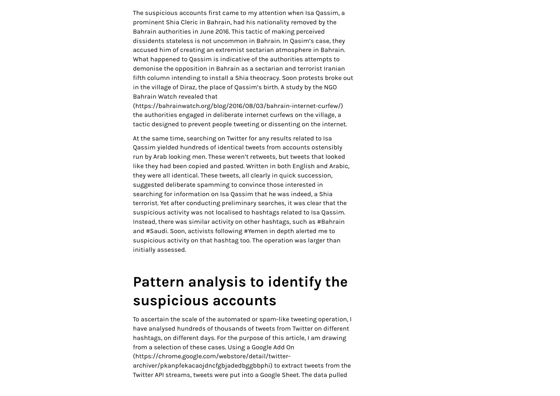The suspicious accounts first came to my attention when Isa Qassim, a prominent Shia Cleric in Bahrain, had his nationality removed by the Bahrain authorities in June 2016. This tactic of making perceived dissidents stateless is not uncommon in Bahrain. In Qasim's case, they accused him of creating an extremist sectarian atmosphere in Bahrain. What happened to Qassim is indicative of the authorities attempts to demonise the opposition in Bahrain as a sectarian and terrorist Iranian fifth column intending to install a Shia theocracy. Soon protests broke out in the village of Diraz, the place of Qassim's birth. A study by the NGO Bahrain Watch revealed that

[\(https://bahrainwatch.org/blog/2016/08/03/bahrain-internet-curfew/\)](https://bahrainwatch.org/blog/2016/08/03/bahrain-internet-curfew/) the authorities engaged in deliberate internet curfews on the village, a tactic designed to prevent people tweeting or dissenting on the internet.

At the same time, searching on Twitter for any results related to Isa Qassim yielded hundreds of identical tweets from accounts ostensibly run by Arab looking men. These weren't retweets, but tweets that looked like they had been copied and pasted. Written in both English and Arabic, they were all identical. These tweets, all clearly in quick succession, suggested deliberate spamming to convince those interested in searching for information on Isa Qassim that he was indeed, a Shia terrorist. Yet after conducting preliminary searches, it was clear that the suspicious activity was not localised to hashtags related to Isa Qassim. Instead, there was similar activity on other hashtags, such as #Bahrain and #Saudi. Soon, activists following #Yemen in depth alerted me to suspicious activity on that hashtag too. The operation was larger than initially assessed.

### Pattern analysis to identify the suspicious accounts

To ascertain the scale of the automated or spam-like tweeting operation, I have analysed hundreds of thousands of tweets from Twitter on different hashtags, on different days. For the purpose of this article, I am drawing [from a selection of these cases. Using a Google Add On](https://chrome.google.com/webstore/detail/twitter-archiver/pkanpfekacaojdncfgbjadedbggbbphi) (https://chrome.google.com/webstore/detail/twitterarchiver/pkanpfekacaojdncfgbjadedbggbbphi) to extract tweets from the Twitter API streams, tweets were put into a Google Sheet. The data pulled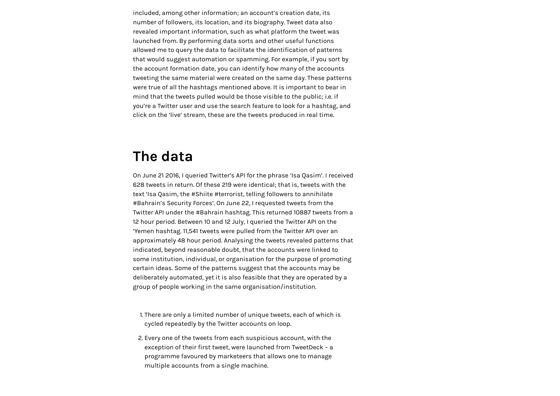included, among other information; an account's creation date, its number of followers, its location, and its biography. Tweet data also revealed important information, such as what platform the tweet was launched from. By performing data sorts and other useful functions allowed me to query the data to facilitate the identification of patterns that would suggest automation or spamming. For example, if you sort by the account formation date, you can identify how many of the accounts tweeting the same material were created on the same day. These patterns were true of all the hashtags mentioned above. It is important to bear in mind that the tweets pulled would be those visible to the public; i.e. if you're a Twitter user and use the search feature to look for a hashtag, and click on the 'live' stream, these are the tweets produced in real time.

#### The data

On June 21 2016, I queried Twitter's API for the phrase 'Isa Qasim'. I received 628 tweets in return. Of these 219 were identical; that is, tweets with the text 'Isa Qasim, the #Shiite #terrorist, telling followers to annihilate #Bahrain's Security Forces'. On June 22, I requested tweets from the Twitter API under the #Bahrain hashtag. This returned 10887 tweets from a 12 hour period. Between 10 and 12 July, I queried the Twitter API on the 'Yemen hashtag. 11,541 tweets were pulled from the Twitter API over an approximately 48 hour period. Analysing the tweets revealed patterns that indicated, beyond reasonable doubt, that the accounts were linked to some institution, individual, or organisation for the purpose of promoting certain ideas. Some of the patterns suggest that the accounts may be deliberately automated, yet it is also feasible that they are operated by a group of people working in the same organisation/institution.

- 1. There are only a limited number of unique tweets, each of which is cycled repeatedly by the Twitter accounts on loop.
- 2. Every one of the tweets from each suspicious account, with the exception of their first tweet, were launched from TweetDeck – a programme favoured by marketeers that allows one to manage multiple accounts from a single machine.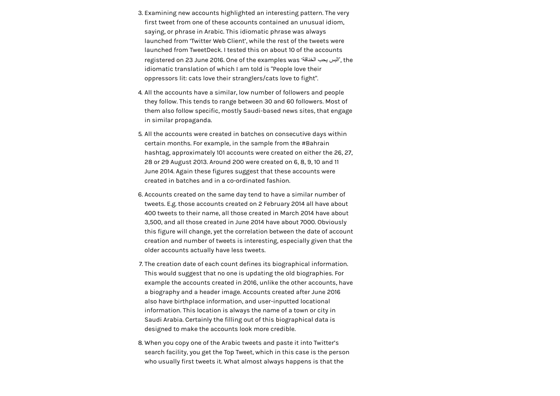- 3. Examining new accounts highlighted an interesting pattern. The very first tweet from one of these accounts contained an unusual idiom, saying, or phrase in Arabic. This idiomatic phrase was always launched from 'Twitter Web Client', while the rest of the tweets were launched from TweetDeck. I tested this on about 10 of the accounts registered on 23 June 2016. One of the examples was 'الخناقة یحب البس', the idiomatic translation of which I am told is "People love their oppressors lit: cats love their stranglers/cats love to fight".
- 4. All the accounts have a similar, low number of followers and people they follow. This tends to range between 30 and 60 followers. Most of them also follow specific, mostly Saudi-based news sites, that engage in similar propaganda.
- 5. All the accounts were created in batches on consecutive days within certain months. For example, in the sample from the #Bahrain hashtag, approximately 101 accounts were created on either the 26, 27, 28 or 29 August 2013. Around 200 were created on 6, 8, 9, 10 and 11 June 2014. Again these figures suggest that these accounts were created in batches and in a co-ordinated fashion.
- 6. Accounts created on the same day tend to have a similar number of tweets. E.g. those accounts created on 2 February 2014 all have about 400 tweets to their name, all those created in March 2014 have about 3,500, and all those created in June 2014 have about 7000. Obviously this figure will change, yet the correlation between the date of account creation and number of tweets is interesting, especially given that the older accounts actually have less tweets.
- 7. The creation date of each count defines its biographical information. This would suggest that no one is updating the old biographies. For example the accounts created in 2016, unlike the other accounts, have a biography and a header image. Accounts created after June 2016 also have birthplace information, and user-inputted locational information. This location is always the name of a town or city in Saudi Arabia. Certainly the filling out of this biographical data is designed to make the accounts look more credible.
- 8. When you copy one of the Arabic tweets and paste it into Twitter's search facility, you get the Top Tweet, which in this case is the person who usually first tweets it. What almost always happens is that the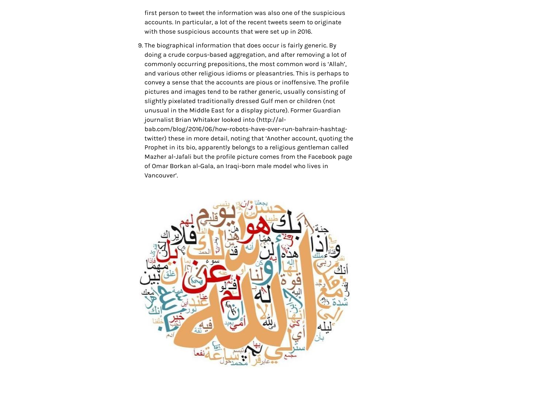first person to tweet the information was also one of the suspicious accounts. In particular, a lot of the recent tweets seem to originate with those suspicious accounts that were set up in 2016.

9. The biographical information that does occur is fairly generic. By doing a crude corpus-based aggregation, and after removing a lot of commonly occurring prepositions, the most common word is 'Allah', and various other religious idioms or pleasantries. This is perhaps to convey a sense that the accounts are pious or inoffensive. The profile pictures and images tend to be rather generic, usually consisting of slightly pixelated traditionally dressed Gulf men or children (not unusual in the Middle East for a display picture). Former Guardian journalist Brian Whitaker looked into (http://al-

bab.com/blog/2016/06/how-robots-have-over-run-bahrain-hashtag[twitter\) these in more detail, noting that 'Another account, quoting th](http://al-bab.com/blog/2016/06/how-robots-have-over-run-bahrain-hashtag-twitter)e Prophet in its bio, apparently belongs to a religious gentleman called Mazher al-Jafali but the profile picture comes from the Facebook page of Omar Borkan al-Gala, an Iraqi-born male model who lives in Vancouver'.

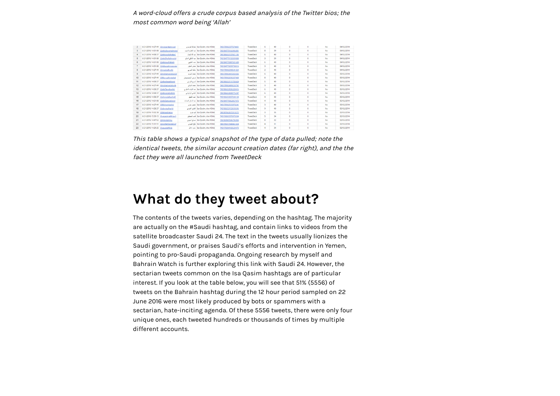#### A word-cloud offers a crude corpus based analysis of the Twitter bios; the most common word being 'Allah'

|                      | 6/21/2016 14:27:49 @mobarikaldosari  |                                     | lsa Qasim, the #Shiit مباركة الدرسري      | 745178902377574401 | TweetDeck        |                         | 40 | $^{\circ}$           | o       | No  | 04/02/2014 |
|----------------------|--------------------------------------|-------------------------------------|-------------------------------------------|--------------------|------------------|-------------------------|----|----------------------|---------|-----|------------|
|                      |                                      | 6/21/2016 14:51:08 @abdalazemalmone | lsa Qasim, the #Shik أعيد العقيد العنيف   | 745184770166906881 | <b>TweetDack</b> | $\mathbf{R}$            | 39 | o                    | o       | No  | 04/02/2014 |
| $\overline{4}$       | 6/21/2016 14:58:37 @abduoallahalga1  |                                     | lsa Oasim, the #Shik أعد الله المعلى      | 745186653107421185 | <b>TweetDeck</b> |                         | 40 | $\alpha$             | 0       | No  | 04/02/2014 |
| 5                    | 6/21/2016 14:51:08 @abdShafialmodal  |                                     | Isa Qasim, the #Shik أميد لشغى العناق     | 745184770150309888 | <b>TweetDeck</b> | $\overline{\mathbf{z}}$ | 39 | o                    | ۰       | No  | 04/02/2014 |
| $\ddot{\phantom{1}}$ | 6/21/2016 14:51:08 @abdoualfakiehi   |                                     | Isa Oasim, the #Shik                      | 745184770087321600 | <b>TweetDeck</b> | 6.                      | 40 | $\ddot{\phantom{0}}$ | 0       | No  | 04/02/2014 |
|                      |                                      | 6/21/2016 14:51:08 @Abbasalmnaowier | Isa Oasim, the #Shik                      | 745184770099798016 | TweetDeck        |                         | 40 | o                    | o       | No  | 04/02/2014 |
|                      | 6/21/2016 14:27:49 @moalsalharbi     |                                     | Isa Qasim, the #Shik أمطت المربى          | 745178902398541824 | <b>TweetDeck</b> | $\overline{a}$          | 40 | $\circ$              | $\circ$ | No  | 04/02/2014 |
| $\circ$              |                                      | 6/21/2016 14:27:49 @mohamedalsawid  | La Oasim, the #Shik                       | 745178902415302656 | TweetDeck        | 6                       | 40 | $\circ$              | o       | No  | 05/02/2014 |
| 10                   | 6/21/2016 14:27:49 @Morsyalhnieshal  |                                     | Isa Qasim, the #Shik                      | 745178902696337408 | <b>TweetDeck</b> |                         | 40 | $\circ$              | o       | No  | 05/02/2014 |
| 11                   | 6/21/2016 14:58:37 @albadieaalkorni  |                                     | Isa Oasim, the #Shik أشده الله بش         | 745186653111783424 | TweetDeck        | ĸ.                      | 40 | $\alpha$             | o       | No  | 05/02/2014 |
| 12                   | 6/21/2016 14:27:49 @mohamedaltorki   |                                     | Isa Oasim, the #Shik                      | 745178902499233792 | TweetDeck        | $\overline{a}$          | 40 | $\circ$              | ۰       | No  | 05/02/2014 |
| 13                   | 6/21/2016 14:58:37 @abdTavrabankri   |                                     | Isa Oasim, the #Shik                      | 745186653036220416 | <b>TweetDeck</b> |                         | 40 | $\circ$              | o       | No  | 05/02/2014 |
| 14                   | 6/21/2016 14:58:37 @alknanialzahrni  |                                     | Isa Oasim, the #Shik                      | 745186653438775297 | TweetDeck        | ĸ.                      | 40 | ö.                   | Ö.      | No  | 05/02/2014 |
| 15                   | 6/21/2016 14:58:37 @ahmedalkanhal1   |                                     | lsa Qasim, the #Shik                      | 745186653057200128 | TweetDeck        | a.                      | 40 | $\circ$              | o       | No  | 05/02/2014 |
| 16                   | 6/21/2016 14:51:08 @abdSattaralsnat  |                                     | Isa Oasim, the #Shik أحد الستان العسات    | 745184770062057472 | TweetDeck        | 4                       | 40 | ō                    | o       | No  | 05/02/2014 |
| 17                   | 6/21/2016 14:27:49 @Mohsenbadwi      |                                     | use one Isa Dasim, the #Shik              | 745178902515978241 | TweetDeck        | 3                       | 40 | $\alpha$             | o       | No  | 05/02/2014 |
| 18                   | 6/21/2016 14:58:37 @alamiealharbi    |                                     | lsa Oasim, the #Shiit أنظرين المربي       | 745186653153693696 | <b>TweetDeck</b> | $\ddot{\mathbf{q}}$     | 40 | $^{\circ}$           | o       | No  | 05/02/2014 |
| 10                   | 6/21/2016 15:02:38 @faheadzielae     |                                     | is a life Dasim, the #Shik                | 745187662672310272 | TweetDack        | 3                       | 35 | $\circ$              | o       | No  | 02/03/2014 |
| 20                   | 6/21/2016 15:39:13 @vagatimalkhsav1  |                                     | lsa Qasim, the #Shik] قَاسَمَ الْمُسَائِي | 745196869370978304 | TweetDeck        | 5                       | 34 | $\circ$              | 0       | No. | 02/03/2014 |
| 21                   | 6/21/2016 14:47:52 @mosaljehniv      |                                     | Isa Qasim, the #Shik أصلح المهتى          | 745183947596795904 | TweetDeck        | $\mathbf{R}$            | 32 | $\circ$              | o       | No  | 02/03/2014 |
| 22                   | 6/21/2016 15:31:51 @mofilehfahidimof |                                     | Isa Qasim, the #Shik                      | 745195017040461824 | <b>TweetDeck</b> | A.                      | 31 | $\circ$              | $\circ$ | No  | 02/03/2014 |
| 23                   | 6/21/2016 14:29:25 @saupdahlela      |                                     | Jan June Isa Qasim, the #Shilt            | 745179304183529473 | <b>TweetDeck</b> |                         | 34 | ۰                    | ۰       | No  | 02/03/2014 |
|                      |                                      |                                     |                                           |                    |                  |                         |    |                      |         |     |            |

This table shows a typical snapshot of the type of data pulled; note the identical tweets, the similar account creation dates (far right), and the the fact they were all launched from TweetDeck

### What do they tweet about?

The contents of the tweets varies, depending on the hashtag. The majority are actually on the #Saudi hashtag, and contain links to videos from the satellite broadcaster Saudi 24. The text in the tweets usually lionizes the Saudi government, or praises Saudi's efforts and intervention in Yemen, pointing to pro-Saudi propaganda. Ongoing research by myself and Bahrain Watch is further exploring this link with Saudi 24. However, the sectarian tweets common on the Isa Qasim hashtags are of particular interest. If you look at the table below, you will see that 51% (5556) of tweets on the Bahrain hashtag during the 12 hour period sampled on 22 June 2016 were most likely produced by bots or spammers with a sectarian, hate-inciting agenda. Of these 5556 tweets, there were only four unique ones, each tweeted hundreds or thousands of times by multiple different accounts.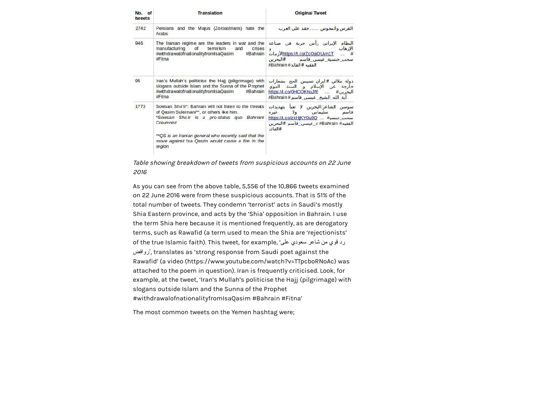| No. of<br>tweets | <b>Translation</b>                                                                                                                                                                                                                                                                      | <b>Original Tweet</b>                                                                                                                                                      |  |  |  |  |
|------------------|-----------------------------------------------------------------------------------------------------------------------------------------------------------------------------------------------------------------------------------------------------------------------------------------|----------------------------------------------------------------------------------------------------------------------------------------------------------------------------|--|--|--|--|
| 2742             | Persians and the Majus (Zoroastrians) hate the<br>Arabs                                                                                                                                                                                                                                 | الفرس والمجوس حقد على العرب                                                                                                                                                |  |  |  |  |
| 946              | The Iranian regime are the leaders in war and the<br>manufacturing<br><b>of</b><br>terrorism<br>crises<br>and<br>#withdrawalofnationalityfromIsaQasim<br>#Bahrain<br>#Fitna                                                                                                             | النظام الإيراني رأس حربة في صناعة<br>الإرهاب<br>$\overline{9}$<br>#  Whttps://t.co/ZcOaOUvn1T  #<br>سحب جنسية_عيسي_فاسم ___#البحرين<br>الفقيه #القائد# Bahrain#            |  |  |  |  |
| 95               | Iran's Mullah's politicise the Hajj (piligrimage) with<br>slogans outside Islam and the Sunna of the Prophet<br>#withdrawalofnationalityfromIsaQasim<br>#Bahrain<br>#Fitna                                                                                                              | دولة ملالي #ايران تسيس الح <del>ج</del> بشعارات<br>خا <mark>رجة عن الإسلام و السنة النبوي</mark><br>البحرين#  https://t.co/0HCOKhuJf6<br>ابة_الله_الشيخ_عيسي_فاسم#Bahrain# |  |  |  |  |
| 1773             | Sowsan Sha'ir*: Bahrain will not listen to the threats<br>of Qasim Suleimani**, or others like him.<br>*Sowsan Sha'ir is a pro-status quo Bahriani<br>Columnist<br>** QS is an Iranian general who recently said that the<br>move against Isa Qasim would cause a fire in the<br>region | سوسن الشاعر:البحرين لا تعبا بتهديدات<br>قاسم سليماني ولا<br>غيره<br>سحب_جنسي#  https://t.co/zkHjKY0u9O<br>الفقيه# Bahrain# ة عيسى قاسم #البحرين<br>#القائد                 |  |  |  |  |

Table showing breakdown of tweets from suspicious accounts on 22 June 2016

As you can see from the above table, 5,556 of the 10,866 tweets examined on 22 June 2016 were from these suspicious accounts. That is 51% of the total number of tweets. They condemn 'terrorist' acts in Saudi's mostly Shia Eastern province, and acts by the 'Shia' opposition in Bahrain. I use the term Shia here because it is mentioned frequently, as are derogatory terms, such as Rawafid (a term used to mean the Shia are 'rejectionists' of the true Islamic faith). This tweet, for example, 'على سعودي شاعر من قوي رد روافض', translates as 'strong response from Saudi poet against the Rawafid' (a [video \(https://www.youtube.com/watch?v=TTpcboRNoAc\)](https://www.youtube.com/watch?v=TTpcboRNoAc) was attached to the poem in question). Iran is frequently criticised. Look, for example, at the tweet, 'Iran's Mullah's politicise the Hajj (pilgrimage) with slogans outside Islam and the Sunna of the Prophet #withdrawalofnationalityfromIsaQasim #Bahrain #Fitna'

The most common tweets on the Yemen hashtag were;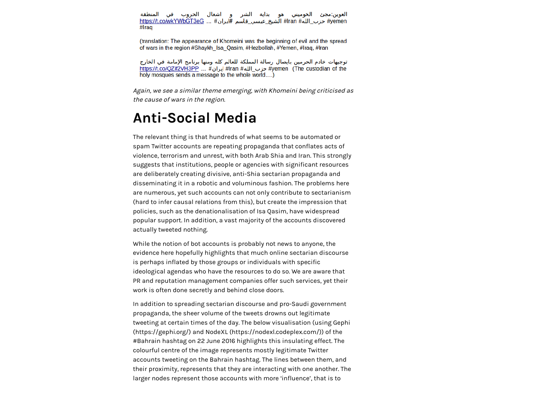العوين:مجئ الخوميني هو بداية الشر و اشعال الحروب في المنطقة #yemen حزب\_الله# Iran# الشيخ\_عيسي\_قاسم #ايران# ... https://t.co/wkYWbGT3eG ... # #Iraq

(translation: The appearance of Khomeini was the beginning of evil and the spread of wars in the region #Shaykh Isa Qasim, #Hezbollah, #Yemen, #Iraq, #Iran

توجيهات خادم الحرمين بايصال رسالة المملكة للعالم كله ومنها برنامج الإمامة في الخارج https://t.co/QZif2VH3PP ... #ایران# |ran #عزب\_الله# fran #عزب\_الله# https://t.co/QZif2VH3PP ... # holy mosques sends a message to the whole world....)

Again, we see a similar theme emerging, with Khomeini being criticised as the cause of wars in the region.

#### Anti-Social Media

The relevant thing is that hundreds of what seems to be automated or spam Twitter accounts are repeating propaganda that conflates acts of violence, terrorism and unrest, with both Arab Shia and Iran. This strongly suggests that institutions, people or agencies with significant resources are deliberately creating divisive, anti-Shia sectarian propaganda and disseminating it in a robotic and voluminous fashion. The problems here are numerous, yet such accounts can not only contribute to sectarianism (hard to infer causal relations from this), but create the impression that policies, such as the denationalisation of Isa Qasim, have widespread popular support. In addition, a vast majority of the accounts discovered actually tweeted nothing.

While the notion of bot accounts is probably not news to anyone, the evidence here hopefully highlights that much online sectarian discourse is perhaps inflated by those groups or individuals with specific ideological agendas who have the resources to do so. We are aware that PR and reputation management companies offer such services, yet their work is often done secretly and behind close doors.

In addition to spreading sectarian discourse and pro-Saudi government propaganda, the sheer volume of the tweets drowns out legitimate [tweeting at certain times of the day. The below visualisation \(using Gephi](https://gephi.org/) (https://gephi.org/) and [NodeXL \(https://nodexl.codeplex.com/\)\)](https://nodexl.codeplex.com/) of the #Bahrain hashtag on 22 June 2016 highlights this insulating effect. The colourful centre of the image represents mostly legitimate Twitter accounts tweeting on the Bahrain hashtag. The lines between them, and their proximity, represents that they are interacting with one another. The larger nodes represent those accounts with more 'influence', that is to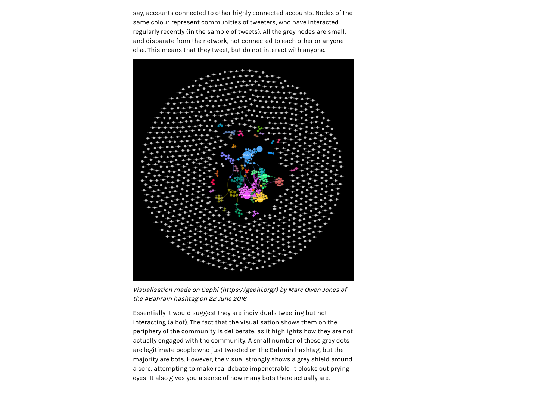say, accounts connected to other highly connected accounts. Nodes of the same colour represent communities of tweeters, who have interacted regularly recently (in the sample of tweets). All the grey nodes are small, and disparate from the network, not connected to each other or anyone else. This means that they tweet, but do not interact with anyone.



Visualisation made on [Gephi \(https://gephi.org/\)](https://gephi.org/) by Marc Owen Jones of the #Bahrain hashtag on 22 June 2016

Essentially it would suggest they are individuals tweeting but not interacting (a bot). The fact that the visualisation shows them on the periphery of the community is deliberate, as it highlights how they are not actually engaged with the community. A small number of these grey dots are legitimate people who just tweeted on the Bahrain hashtag, but the majority are bots. However, the visual strongly shows a grey shield around a core, attempting to make real debate impenetrable. It blocks out prying eyes! It also gives you a sense of how many bots there actually are.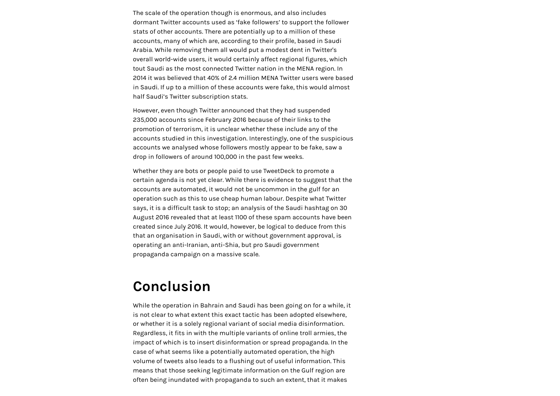The scale of the operation though is enormous, and also includes dormant Twitter accounts used as 'fake followers' to support the follower stats of other accounts. There are potentially up to a million of these accounts, many of which are, according to their profile, based in Saudi Arabia. While removing them all would put a modest dent in Twitter's overall world-wide users, it would certainly affect regional figures, which tout Saudi as the most connected Twitter nation in the MENA region. In 2014 it was believed that 40% of 2.4 million MENA Twitter users were based in Saudi. If up to a million of these accounts were fake, this would almost half Saudi's Twitter subscription stats.

However, even though Twitter announced that they had suspended 235,000 accounts since February 2016 because of their links to the promotion of terrorism, it is unclear whether these include any of the accounts studied in this investigation. Interestingly, one of the suspicious accounts we analysed whose followers mostly appear to be fake, saw a drop in followers of around 100,000 in the past few weeks.

Whether they are bots or people paid to use TweetDeck to promote a certain agenda is not yet clear. While there is evidence to suggest that the accounts are automated, it would not be uncommon in the gulf for an operation such as this to use cheap human labour. Despite what Twitter says, it is a difficult task to stop; an analysis of the Saudi hashtag on 30 August 2016 revealed that at least 1100 of these spam accounts have been created since July 2016. It would, however, be logical to deduce from this that an organisation in Saudi, with or without government approval, is operating an anti-Iranian, anti-Shia, but pro Saudi government propaganda campaign on a massive scale.

### Conclusion

While the operation in Bahrain and Saudi has been going on for a while, it is not clear to what extent this exact tactic has been adopted elsewhere, or whether it is a solely regional variant of social media disinformation. Regardless, it fits in with the multiple variants of online troll armies, the impact of which is to insert disinformation or spread propaganda. In the case of what seems like a potentially automated operation, the high volume of tweets also leads to a flushing out of useful information. This means that those seeking legitimate information on the Gulf region are often being inundated with propaganda to such an extent, that it makes